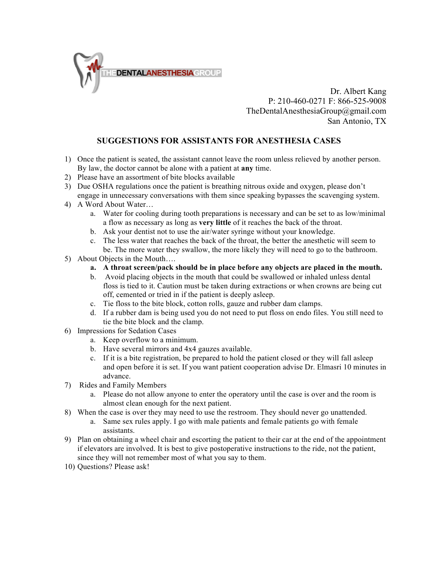

Dr. Albert Kang P: 210-460-0271 F: 866-525-9008 TheDentalAnesthesiaGroup@gmail.com San Antonio, TX

## **SUGGESTIONS FOR ASSISTANTS FOR ANESTHESIA CASES**

- 1) Once the patient is seated, the assistant cannot leave the room unless relieved by another person. By law, the doctor cannot be alone with a patient at **any** time.
- 2) Please have an assortment of bite blocks available
- 3) Due OSHA regulations once the patient is breathing nitrous oxide and oxygen, please don't engage in unnecessary conversations with them since speaking bypasses the scavenging system.
- 4) A Word About Water…
	- a. Water for cooling during tooth preparations is necessary and can be set to as low/minimal a flow as necessary as long as **very little** of it reaches the back of the throat.
	- b. Ask your dentist not to use the air/water syringe without your knowledge.
	- c. The less water that reaches the back of the throat, the better the anesthetic will seem to be. The more water they swallow, the more likely they will need to go to the bathroom.
- 5) About Objects in the Mouth….
	- **a. A throat screen/pack should be in place before any objects are placed in the mouth.**
	- b. Avoid placing objects in the mouth that could be swallowed or inhaled unless dental floss is tied to it. Caution must be taken during extractions or when crowns are being cut off, cemented or tried in if the patient is deeply asleep.
	- c. Tie floss to the bite block, cotton rolls, gauze and rubber dam clamps.
	- d. If a rubber dam is being used you do not need to put floss on endo files. You still need to tie the bite block and the clamp.
- 6) Impressions for Sedation Cases
	- a. Keep overflow to a minimum.
	- b. Have several mirrors and 4x4 gauzes available.
	- c. If it is a bite registration, be prepared to hold the patient closed or they will fall asleep and open before it is set. If you want patient cooperation advise Dr. Elmasri 10 minutes in advance.
- 7) Rides and Family Members
	- a. Please do not allow anyone to enter the operatory until the case is over and the room is almost clean enough for the next patient.
- 8) When the case is over they may need to use the restroom. They should never go unattended.
	- a. Same sex rules apply. I go with male patients and female patients go with female assistants.
- 9) Plan on obtaining a wheel chair and escorting the patient to their car at the end of the appointment if elevators are involved. It is best to give postoperative instructions to the ride, not the patient, since they will not remember most of what you say to them.
- 10) Questions? Please ask!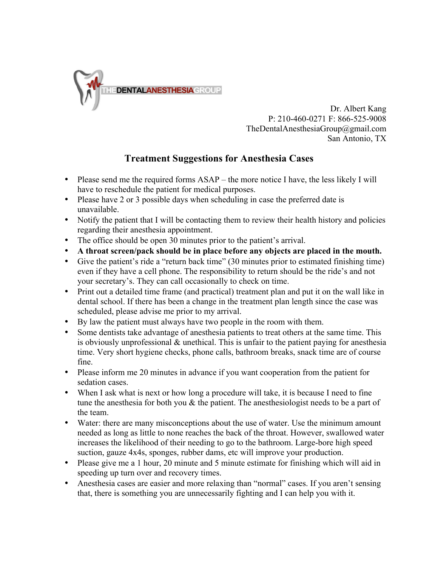

Dr. Albert Kang P: 210-460-0271 F: 866-525-9008 TheDentalAnesthesiaGroup@gmail.com San Antonio, TX

## **Treatment Suggestions for Anesthesia Cases**

- Please send me the required forms ASAP the more notice I have, the less likely I will have to reschedule the patient for medical purposes.
- Please have 2 or 3 possible days when scheduling in case the preferred date is unavailable.
- Notify the patient that I will be contacting them to review their health history and policies regarding their anesthesia appointment.
- The office should be open 30 minutes prior to the patient's arrival.
- **A throat screen/pack should be in place before any objects are placed in the mouth.**
- Give the patient's ride a "return back time" (30 minutes prior to estimated finishing time) even if they have a cell phone. The responsibility to return should be the ride's and not your secretary's. They can call occasionally to check on time.
- Print out a detailed time frame (and practical) treatment plan and put it on the wall like in dental school. If there has been a change in the treatment plan length since the case was scheduled, please advise me prior to my arrival.
- By law the patient must always have two people in the room with them.
- Some dentists take advantage of anesthesia patients to treat others at the same time. This is obviously unprofessional  $\&$  unethical. This is unfair to the patient paying for anesthesia time. Very short hygiene checks, phone calls, bathroom breaks, snack time are of course fine.
- Please inform me 20 minutes in advance if you want cooperation from the patient for sedation cases.
- When I ask what is next or how long a procedure will take, it is because I need to fine tune the anesthesia for both you & the patient. The anesthesiologist needs to be a part of the team.
- Water: there are many misconceptions about the use of water. Use the minimum amount needed as long as little to none reaches the back of the throat. However, swallowed water increases the likelihood of their needing to go to the bathroom. Large-bore high speed suction, gauze 4x4s, sponges, rubber dams, etc will improve your production.
- Please give me a 1 hour, 20 minute and 5 minute estimate for finishing which will aid in speeding up turn over and recovery times.
- Anesthesia cases are easier and more relaxing than "normal" cases. If you aren't sensing that, there is something you are unnecessarily fighting and I can help you with it.